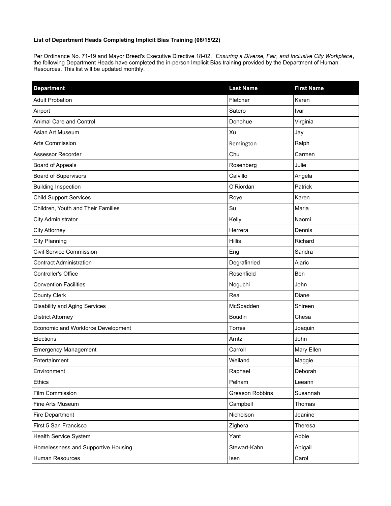## **List of Department Heads Completing Implicit Bias Training (06/15/22)**

Per Ordinance No. 71-19 and Mayor Breed's Executive Directive 18-02, *Ensuring a Diverse, Fair, and Inclusive City Workplace*, the following Department Heads have completed the in-person Implicit Bias training provided by the Department of Human Resources. This list will be updated monthly.

| <b>Department</b>                    | <b>Last Name</b> | <b>First Name</b> |
|--------------------------------------|------------------|-------------------|
| <b>Adult Probation</b>               | Fletcher         | Karen             |
| Airport                              | Satero           | Ivar              |
| Animal Care and Control              | Donohue          | Virginia          |
| Asian Art Museum                     | Xu               | Jay               |
| Arts Commission                      | Remington        | Ralph             |
| Assessor Recorder                    | Chu              | Carmen            |
| <b>Board of Appeals</b>              | Rosenberg        | Julie             |
| Board of Supervisors                 | Calvillo         | Angela            |
| <b>Building Inspection</b>           | O'Riordan        | Patrick           |
| <b>Child Support Services</b>        | Roye             | Karen             |
| Children, Youth and Their Families   | Su               | Maria             |
| <b>City Administrator</b>            | Kelly            | Naomi             |
| <b>City Attorney</b>                 | Herrera          | Dennis            |
| <b>City Planning</b>                 | Hillis           | Richard           |
| Civil Service Commission             | Eng              | Sandra            |
| <b>Contract Administration</b>       | Degrafinried     | Alaric            |
| Controller's Office                  | Rosenfield       | Ben               |
| <b>Convention Facilities</b>         | Noguchi          | John              |
| <b>County Clerk</b>                  | Rea              | Diane             |
| <b>Disability and Aging Services</b> | McSpadden        | Shireen           |
| <b>District Attorney</b>             | <b>Boudin</b>    | Chesa             |
| Economic and Workforce Development   | Torres           | Joaquin           |
| Elections                            | Arntz            | John              |
| <b>Emergency Management</b>          | Carroll          | Mary Ellen        |
| Entertainment                        | Weiland          | Maggie            |
| Environment                          | Raphael          | Deborah           |
| Ethics                               | Pelham           | Leeann            |
| Film Commission                      | Greason Robbins  | Susannah          |
| Fine Arts Museum                     | Campbell         | Thomas            |
| Fire Department                      | Nicholson        | Jeanine           |
| First 5 San Francisco                | Zighera          | Theresa           |
| Health Service System                | Yant             | Abbie             |
| Homelessness and Supportive Housing  | Stewart-Kahn     | Abigail           |
| Human Resources                      | Isen             | Carol             |